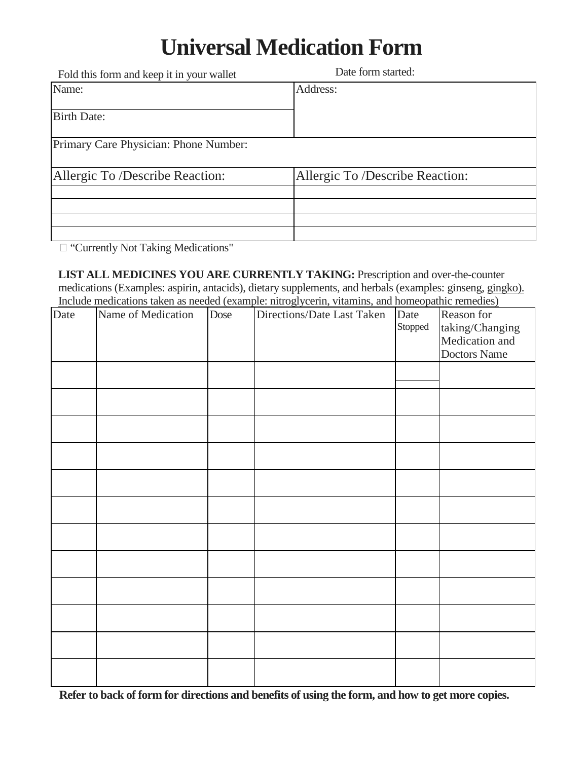## **Universal Medication Form**

| Fold this form and keep it in your wallet | Date form started:              |
|-------------------------------------------|---------------------------------|
| Name:                                     | Address:                        |
| <b>Birth Date:</b>                        |                                 |
| Primary Care Physician: Phone Number:     |                                 |
| Allergic To /Describe Reaction:           | Allergic To /Describe Reaction: |
|                                           |                                 |
|                                           |                                 |
|                                           |                                 |
|                                           |                                 |

□ "Currently Not Taking Medications"

**LIST ALL MEDICINES YOU ARE CURRENTLY TAKING:** Prescription and over-the-counter medications (Examples: aspirin, antacids), dietary supplements, and herbals (examples: ginseng, gingko). Include medications taken as needed (example: nitroglycerin, vitamins, and homeopathic remedies)

| metate metremons unon as necesses (example, matogrycerin, vitamino, and nomeoparine remetrics) |                    |      |                            |         |                 |  |
|------------------------------------------------------------------------------------------------|--------------------|------|----------------------------|---------|-----------------|--|
| Date                                                                                           | Name of Medication | Dose | Directions/Date Last Taken | Date    | Reason for      |  |
|                                                                                                |                    |      |                            | Stopped | taking/Changing |  |
|                                                                                                |                    |      |                            |         | Medication and  |  |
|                                                                                                |                    |      |                            |         | Doctors Name    |  |
|                                                                                                |                    |      |                            |         |                 |  |
|                                                                                                |                    |      |                            |         |                 |  |
|                                                                                                |                    |      |                            |         |                 |  |
|                                                                                                |                    |      |                            |         |                 |  |
|                                                                                                |                    |      |                            |         |                 |  |
|                                                                                                |                    |      |                            |         |                 |  |
|                                                                                                |                    |      |                            |         |                 |  |
|                                                                                                |                    |      |                            |         |                 |  |
|                                                                                                |                    |      |                            |         |                 |  |
|                                                                                                |                    |      |                            |         |                 |  |
|                                                                                                |                    |      |                            |         |                 |  |
|                                                                                                |                    |      |                            |         |                 |  |
|                                                                                                |                    |      |                            |         |                 |  |
|                                                                                                |                    |      |                            |         |                 |  |
|                                                                                                |                    |      |                            |         |                 |  |
|                                                                                                |                    |      |                            |         |                 |  |
|                                                                                                |                    |      |                            |         |                 |  |
|                                                                                                |                    |      |                            |         |                 |  |
|                                                                                                |                    |      |                            |         |                 |  |
|                                                                                                |                    |      |                            |         |                 |  |
|                                                                                                |                    |      |                            |         |                 |  |
|                                                                                                |                    |      |                            |         |                 |  |
|                                                                                                |                    |      |                            |         |                 |  |
|                                                                                                |                    |      |                            |         |                 |  |

**Refer to back of form for directions and benefits of using the form, and how to get more copies.**